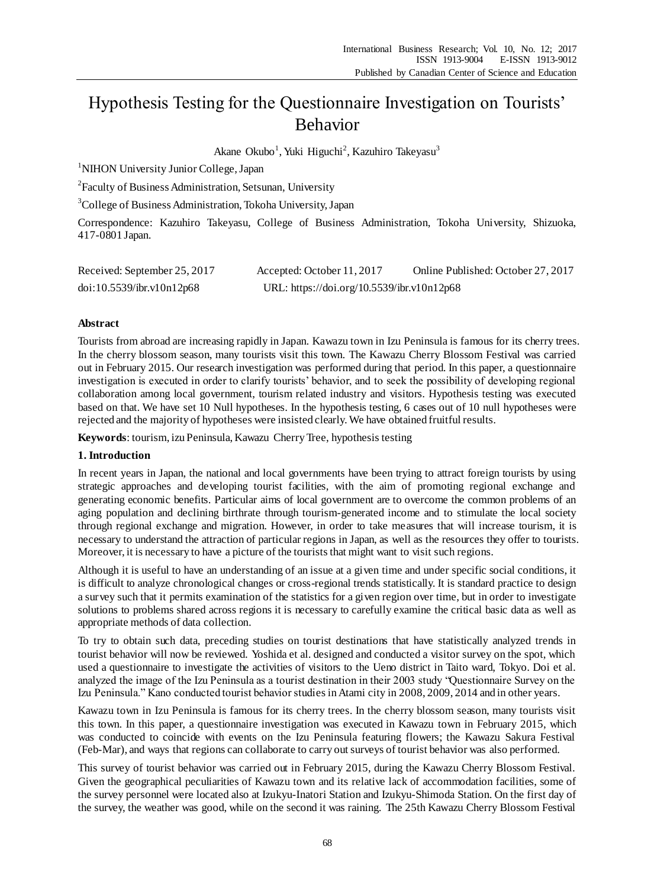# Hypothesis Testing for the Questionnaire Investigation on Tourists' Behavior

Akane Okubo<sup>1</sup>, Yuki Higuchi<sup>2</sup>, Kazuhiro Takeyasu<sup>3</sup>

<sup>1</sup>NIHON University Junior College, Japan

<sup>2</sup> Faculty of Business Administration, Setsunan, University

<sup>3</sup>College of Business Administration, Tokoha University, Japan

Correspondence: Kazuhiro Takeyasu, College of Business Administration, Tokoha University, Shizuoka, 417-0801 Japan.

| Received: September 25, 2017 | Accepted: October 11, 2017                 | Online Published: October 27, 2017 |
|------------------------------|--------------------------------------------|------------------------------------|
| doi:10.5539/ibr.v10n12p68    | URL: https://doi.org/10.5539/ibr.v10n12p68 |                                    |

# **Abstract**

Tourists from abroad are increasing rapidly in Japan. Kawazu town in Izu Peninsula is famous for its cherry trees. In the cherry blossom season, many tourists visit this town. The Kawazu Cherry Blossom Festival was carried out in February 2015. Our research investigation was performed during that period. In this paper, a questionnaire investigation is executed in order to clarify tourists' behavior, and to seek the possibility of developing regional collaboration among local government, tourism related industry and visitors. Hypothesis testing was executed based on that. We have set 10 Null hypotheses. In the hypothesis testing, 6 cases out of 10 null hypotheses were rejected and the majority of hypotheses were insisted clearly. We have obtained fruitful results.

**Keywords**: tourism, izu Peninsula, Kawazu Cherry Tree, hypothesis testing

# **1. Introduction**

In recent years in Japan, the national and local governments have been trying to attract foreign tourists by using strategic approaches and developing tourist facilities, with the aim of promoting regional exchange and generating economic benefits. Particular aims of local government are to overcome the common problems of an aging population and declining birthrate through tourism-generated income and to stimulate the local society through regional exchange and migration. However, in order to take measures that will increase tourism, it is necessary to understand the attraction of particular regions in Japan, as well as the resources they offer to tourists. Moreover, it is necessary to have a picture of the tourists that might want to visit such regions.

Although it is useful to have an understanding of an issue at a given time and under specific social conditions, it is difficult to analyze chronological changes or cross-regional trends statistically. It is standard practice to design a survey such that it permits examination of the statistics for a given region over time, but in order to investigate solutions to problems shared across regions it is necessary to carefully examine the critical basic data as well as appropriate methods of data collection.

To try to obtain such data, preceding studies on tourist destinations that have statistically analyzed trends in tourist behavior will now be reviewed. Yoshida et al. designed and conducted a visitor survey on the spot, which used a questionnaire to investigate the activities of visitors to the Ueno district in Taito ward, Tokyo. Doi et al. analyzed the image of the Izu Peninsula as a tourist destination in their 2003 study "Questionnaire Survey on the Izu Peninsula." Kano conducted tourist behavior studies in Atami city in 2008, 2009, 2014 and in other years.

Kawazu town in Izu Peninsula is famous for its cherry trees. In the cherry blossom season, many tourists visit this town. In this paper, a questionnaire investigation was executed in Kawazu town in February 2015, which was conducted to coincide with events on the Izu Peninsula featuring flowers; the Kawazu Sakura Festival (Feb-Mar), and ways that regions can collaborate to carry out surveys of tourist behavior was also performed.

This survey of tourist behavior was carried out in February 2015, during the Kawazu Cherry Blossom Festival. Given the geographical peculiarities of Kawazu town and its relative lack of accommodation facilities, some of the survey personnel were located also at Izukyu-Inatori Station and Izukyu-Shimoda Station. On the first day of the survey, the weather was good, while on the second it was raining. The 25th Kawazu Cherry Blossom Festival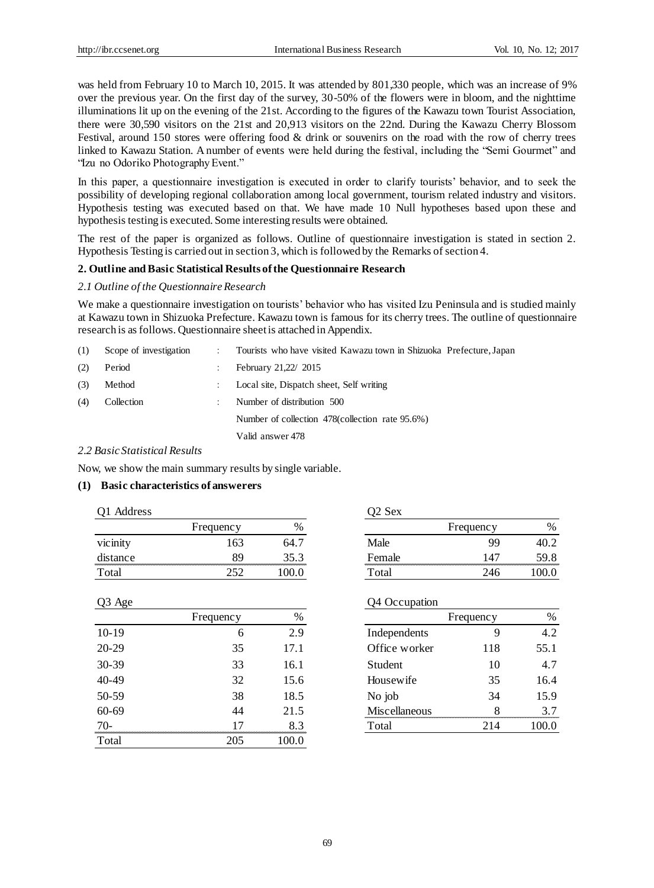was held from February 10 to March 10, 2015. It was attended by 801,330 people, which was an increase of 9% over the previous year. On the first day of the survey, 30-50% of the flowers were in bloom, and the nighttime illuminations lit up on the evening of the 21st. According to the figures of the Kawazu town Tourist Association, there were 30,590 visitors on the 21st and 20,913 visitors on the 22nd. During the Kawazu Cherry Blossom Festival, around 150 stores were offering food & drink or souvenirs on the road with the row of cherry trees linked to Kawazu Station. A number of events were held during the festival, including the "Semi Gourmet" and "Izu no Odoriko Photography Event."

In this paper, a questionnaire investigation is executed in order to clarify tourists' behavior, and to seek the possibility of developing regional collaboration among local government, tourism related industry and visitors. Hypothesis testing was executed based on that. We have made 10 Null hypotheses based upon these and hypothesis testing is executed. Some interesting results were obtained.

The rest of the paper is organized as follows. Outline of questionnaire investigation is stated in section 2. Hypothesis Testing is carried out in section 3, which is followed by the Remarks of section 4.

#### **2. Outline and Basic Statistical Results of the Questionnaire Research**

#### *2.1 Outline of the Questionnaire Research*

We make a questionnaire investigation on tourists' behavior who has visited Izu Peninsula and is studied mainly at Kawazu town in Shizuoka Prefecture. Kawazu town is famous for its cherry trees. The outline of questionnaire research is as follows. Questionnaire sheet is attached in Appendix.

| (1) | Scope of investigation | Tourists who have visited Kawazu town in Shizuoka Prefecture, Japan |
|-----|------------------------|---------------------------------------------------------------------|
| (2) | Period                 | February 21,22/ 2015                                                |
| (3) | Method                 | Local site, Dispatch sheet, Self writing                            |
| (4) | Collection             | Number of distribution 500                                          |
|     |                        | Number of collection 478 (collection rate 95.6%)                    |
|     |                        | Valid answer 478                                                    |
|     |                        |                                                                     |

### *2.2 Basic Statistical Results*

Now, we show the main summary results by single variable.

# **(1) Basic characteristics of answerers**

| Q1 Address | Q <sub>2</sub> Sex |
|------------|--------------------|
|            |                    |

|                 | <b>Frequency</b> | $\%$ |        | <b>Frequency</b> | $\frac{0}{0}$ |
|-----------------|------------------|------|--------|------------------|---------------|
| <b>VIC INIT</b> |                  | 74.  | Male   | uc               |               |
| distance        |                  |      | Female | ↵                |               |
| ' ota.          |                  |      | ota.   |                  |               |

|         | <b>Frequency</b> | %     |                  | Frequency | $\%$  |
|---------|------------------|-------|------------------|-----------|-------|
| $10-19$ | 6                | 2.9   | Independents     |           | 4.2   |
| 20-29   | 35               | 17.1  | Office worker    | 118       | 55.1  |
| 30-39   | 33               | 16.1  | Student          | 10        | 4.7   |
| 40-49   | 32               | 15.6  | <b>Housewife</b> | 35        | 16.4  |
| 50-59   | 38               | 18.5  | No job           | 34        | 15.9  |
| 60-69   | 44               | 21.5  | Miscellaneous    |           | 3.7   |
| $70-$   |                  | 8.3   | Total            | 214       | 100.0 |
| Total   | 205              | 100.0 |                  |           |       |

| Ķ<br>۹<br>r. |
|--------------|
|              |

|                  |               | v= pon |           |      |
|------------------|---------------|--------|-----------|------|
| <b>Frequency</b> | $\frac{0}{6}$ |        | Frequency | ℀    |
| 63               | ግ4.           | Male   | QQ        |      |
|                  |               | Female |           | 59 X |
|                  |               | otal   |           |      |

# Q3 Age Q4 Occupation

| Frequency            | $\%$                 |               | Frequency |      |
|----------------------|----------------------|---------------|-----------|------|
|                      | 2.9                  | Independents  |           | 4.2  |
| 35                   | 17.1                 | Office worker | 118       | 55.1 |
| 33                   | 16.1                 | Student       |           | 4.7  |
| 32                   | 15.6                 | Housewife     | 35        | 16.4 |
| 38                   | 18.5                 | No job        | 34        | 15.9 |
|                      | 21.5                 | Miscellaneous |           | 37   |
|                      |                      | Total         | 214       |      |
| $\sim$ $\sim$ $\sim$ | $\sim$ $\sim$ $\sim$ |               |           |      |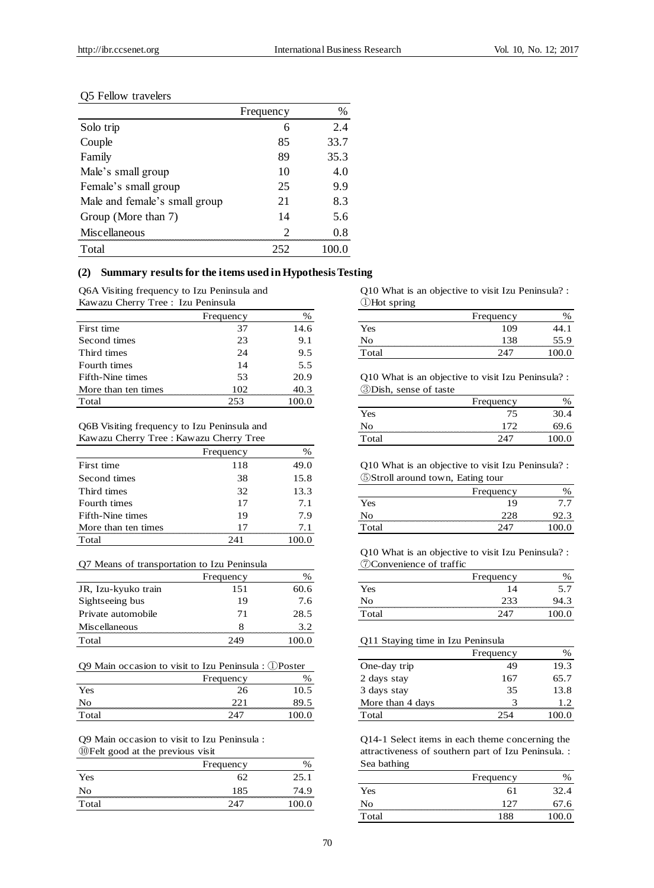## Q5 Fellow travelers

|                               | Frequency | $\frac{0}{0}$ |
|-------------------------------|-----------|---------------|
| Solo trip                     |           | 2.4           |
| Couple                        | 85        | 33.7          |
| Family                        | 89        | 35.3          |
| Male's small group            | 10        | 4 Q           |
| Female's small group          | 25        | 9.9           |
| Male and female's small group | 21        | 8.3           |
| Group (More than 7)           | 14        | 5.6           |
| Miscellaneous                 |           | 0.8           |
| Total                         | 252       |               |

# **(2) Summary results for the items used in Hypothesis Testing**

Q6A Visiting frequency to Izu Peninsula and Kawazu Cherry Tree : Izu Peninsula

|                     |           |       | $\sim$                |                                                    |       |
|---------------------|-----------|-------|-----------------------|----------------------------------------------------|-------|
|                     | Frequency | %     |                       | <b>Frequency</b>                                   | %     |
| First time          | 37        | 14.6  | Yes                   | 109                                                | 44.1  |
| Second times        | 23        | 9.1   | No                    | 138                                                | 55.9  |
| Third times         | 24        | 9.5   | Total                 | 247                                                | 100.0 |
| Fourth times        | 14        | 5.5   |                       |                                                    |       |
| Fifth-Nine times    | 53        | 20.9  |                       | Q10 What is an objective to visit Izu Peninsula? : |       |
| More than ten times | 102       | 40.3  | 3Dish, sense of taste |                                                    |       |
| Total               | 253       | 100.0 |                       | Frequency                                          | $\%$  |

Q6B Visiting frequency to Izu Peninsula and Kawazu Cherry Tree : Kawazu Cherry Tree

| $1.4011$ $0.1011$ , $1.1001$ , $1.0011$ , $0.1011$ , $1.0001$ |           |       | 1 vuu | $  \cdot$                                          | 100.U |
|---------------------------------------------------------------|-----------|-------|-------|----------------------------------------------------|-------|
|                                                               | Frequency | %     |       |                                                    |       |
| First time                                                    | 118       | 49.0  |       | Q10 What is an objective to visit Izu Peninsula? : |       |
| Second times                                                  | 38        | 15.8  |       | <b>Stroll</b> around town, Eating tour             |       |
| Third times                                                   | 32        | 13.3  |       | <b>Frequency</b>                                   | %     |
| Fourth times                                                  |           | 7.1   | Yes   | 19                                                 | 7.7   |
| Fifth-Nine times                                              | 19        | 7.9   | No    | 228                                                | 92.3  |
| More than ten times                                           |           | 71    | Total | 247                                                | 100.0 |
| Total                                                         | 241       | 100.0 |       |                                                    |       |

|  | Q7 Means of transportation to Izu Peninsula |
|--|---------------------------------------------|
|--|---------------------------------------------|

|                     | Frequency | $\%$  |                                   | <b>Frequency</b> | $\%$ |
|---------------------|-----------|-------|-----------------------------------|------------------|------|
| JR, Izu-kyuko train |           | 60.6  | Yes                               |                  |      |
| Sightseeing bus     |           | 7.6   | Nο                                | ววว              | 94.3 |
| Private automobile  |           | 28.5  | Total                             | 247              |      |
| Miscellaneous       |           |       |                                   |                  |      |
| Total               | 249       | 100 C | O11 Staving time in Izu Peninsula |                  |      |

## Q9 Main occasion to visit to Izu Peninsula : ①Poster

|       | $\%$  | 2 days stay      | - -    |
|-------|-------|------------------|--------|
| Yes   | 1 V.J | days stay        |        |
| No    |       | More than 4 days | $\sim$ |
| Total |       | Total            | ഹ      |

#### Q9 Main occasion to visit to Izu Peninsula :

⑩Felt good at the previous visit

|              | $\%$ | ه ه |                |
|--------------|------|-----|----------------|
| Yec<br>1 U.S | ـ    |     | %              |
| No           | −    | Υes | , <u>,</u> , , |
| Total        |      |     | $\cdot$        |

Q10 What is an objective to visit Izu Peninsula? : ①Hot spring

| ∽<br>Frequency | $\%$                      |     | requency <sup>-</sup> |  |
|----------------|---------------------------|-----|-----------------------|--|
|                |                           | 'es | ıu                    |  |
|                |                           |     |                       |  |
|                | . .                       | วta |                       |  |
| .              | company of the company of |     |                       |  |

|       | Frequency | 70   |
|-------|-----------|------|
| Yes   |           | 30.4 |
| Nο    | 172       | 69.6 |
| Total |           |      |

| Yes<br>1 Q<br>ง∩ |  | <b>Frequency</b> |       |
|------------------|--|------------------|-------|
|                  |  |                  |       |
|                  |  |                  |       |
|                  |  |                  | Total |

Q10 What is an objective to visit Izu Peninsula? : ⑦Convenience of traffic

| - | ́<br>$\%$       |    | requenc | $\mathbf{U}$ |
|---|-----------------|----|---------|--------------|
|   |                 | es |         | <u>.</u>     |
| ⊾ | $\cdot$ $\cdot$ |    |         | т. ј         |
|   |                 |    |         |              |

#### Q11 Staying time in Izu Peninsula

|                         |      |                  | Frequenc v | $\frac{0}{0}$ |
|-------------------------|------|------------------|------------|---------------|
| Izu Peninsula : ①Poster |      | One-day trip     |            | 19.3          |
| Frequency               | $\%$ | 2 days stay      | 167        | 65.7          |
| Ζh                      | 10.5 | 3 days stay      | 35         | 13.8          |
|                         | י ט  | More than 4 days |            |               |
|                         |      | Total            |            |               |

Q14-1 Select items in each theme concerning the attractiveness of southern part of Izu Peninsula. : Sea bathing

|       | <b>Frequency</b> |      |
|-------|------------------|------|
| Yes   | 61               |      |
| Nο    |                  | 67.6 |
| Total |                  |      |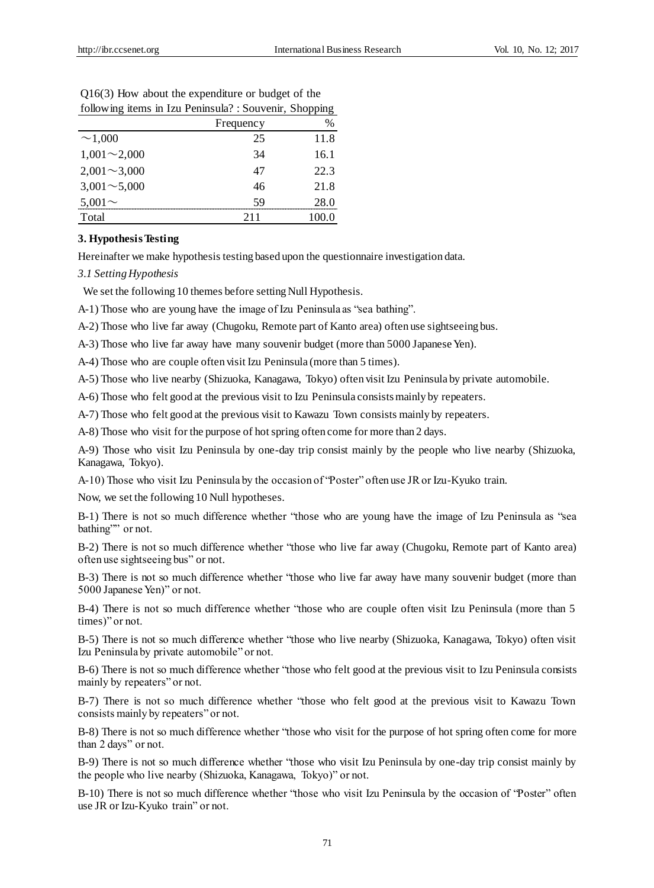| following items in Izu Peninsula? : Souvenir, Shopping |           |       |
|--------------------------------------------------------|-----------|-------|
|                                                        | Frequency | $\%$  |
| $\sim$ 1,000                                           | 25        | 11.8  |
| $1,001\sim2,000$                                       | 34        | 16.1  |
| $2,001 \sim 3,000$                                     | 47        | 22.3  |
| $3,001 \sim 5,000$                                     | 46        | 21.8  |
| $5,001 \sim$                                           | 59        | 28.0  |
| Total                                                  | 211       | 100.0 |

Q16(3) How about the expenditure or budget of the  $f_n$ llowing items in I<sub>zu</sub> Peninsula? : Source in Sh

# **3. Hypothesis Testing**

Hereinafter we make hypothesis testing based upon the questionnaire investigation data.

# *3.1 Setting Hypothesis*

We set the following 10 themes before setting Null Hypothesis.

A-1) Those who are young have the image of Izu Peninsula as "sea bathing".

A-2) Those who live far away (Chugoku, Remote part of Kanto area) often use sightseeing bus.

A-3) Those who live far away have many souvenir budget (more than 5000 Japanese Yen).

A-4) Those who are couple often visit Izu Peninsula (more than 5 times).

A-5) Those who live nearby (Shizuoka, Kanagawa, Tokyo) often visit Izu Peninsula by private automobile.

A-6) Those who felt good at the previous visit to Izu Peninsula consists mainly by repeaters.

A-7) Those who felt good at the previous visit to Kawazu Town consists mainly by repeaters.

A-8) Those who visit for the purpose of hot spring often come for more than 2 days.

A-9) Those who visit Izu Peninsula by one-day trip consist mainly by the people who live nearby (Shizuoka, Kanagawa, Tokyo).

A-10) Those who visit Izu Peninsula by the occasion of "Poster" often use JR or Izu-Kyuko train.

Now, we set the following 10 Null hypotheses.

B-1) There is not so much difference whether "those who are young have the image of Izu Peninsula as "sea bathing"" or not.

B-2) There is not so much difference whether "those who live far away (Chugoku, Remote part of Kanto area) often use sightseeing bus" or not.

B-3) There is not so much difference whether "those who live far away have many souvenir budget (more than 5000 Japanese Yen)" or not.

B-4) There is not so much difference whether "those who are couple often visit Izu Peninsula (more than 5 times)" or not.

B-5) There is not so much difference whether "those who live nearby (Shizuoka, Kanagawa, Tokyo) often visit Izu Peninsula by private automobile" or not.

B-6) There is not so much difference whether "those who felt good at the previous visit to Izu Peninsula consists mainly by repeaters" or not.

B-7) There is not so much difference whether "those who felt good at the previous visit to Kawazu Town consists mainly by repeaters" or not.

B-8) There is not so much difference whether "those who visit for the purpose of hot spring often come for more than 2 days" or not.

B-9) There is not so much difference whether "those who visit Izu Peninsula by one-day trip consist mainly by the people who live nearby (Shizuoka, Kanagawa, Tokyo)" or not.

B-10) There is not so much difference whether "those who visit Izu Peninsula by the occasion of "Poster" often use JR or Izu-Kyuko train" or not.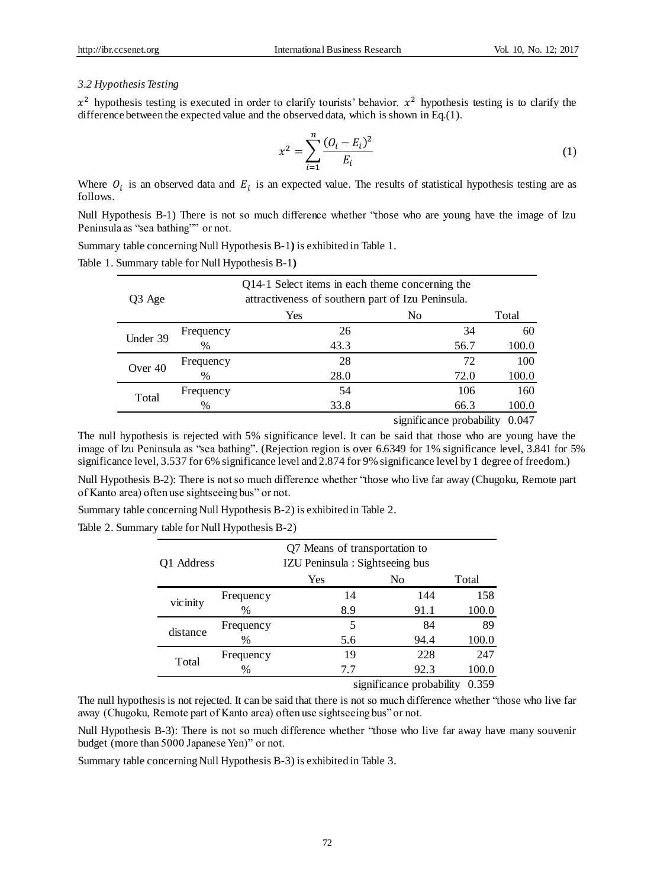## *3.2 Hypothesis Testing*

 $x^2$  hypothesis testing is executed in order to clarify tourists' behavior.  $x^2$  hypothesis testing is to clarify the difference between the expected value and the observed data, which is shown in Eq.(1).

$$
x^{2} = \sum_{i=1}^{n} \frac{(O_{i} - E_{i})^{2}}{E_{i}} \tag{1}
$$

Where  $O_i$  is an observed data and  $E_i$  is an expected value. The results of statistical hypothesis testing are as follows.

Null Hypothesis B-1) There is not so much difference whether "those who are young have the image of Izu Peninsula as "sea bathing"" or not.

Summary table concerning Null Hypothesis B-1**)** is exhibited in Table 1.

Table 1. Summary table for Null Hypothesis B-1**)**

| Q <sub>3</sub> Age |           | Q14-1 Select items in each theme concerning the<br>attractiveness of southern part of Izu Peninsula. |      |       |
|--------------------|-----------|------------------------------------------------------------------------------------------------------|------|-------|
|                    |           | Yes                                                                                                  | No   | Total |
|                    | Frequency | 26                                                                                                   | 34   | 60    |
| Under 39           | $\%$      | 43.3                                                                                                 | 56.7 | 100.0 |
| Over 40            | Frequency | 28                                                                                                   | 72   | 100   |
|                    | $\%$      | 28.0                                                                                                 | 72.0 | 100.0 |
|                    | Frequency | 54                                                                                                   | 106  | 160   |
| Total              | %         | 33.8                                                                                                 | 66.3 | 100.0 |
|                    |           |                                                                                                      |      |       |

significance probability 0.047

The null hypothesis is rejected with 5% significance level. It can be said that those who are young have the image of Izu Peninsula as "sea bathing". (Rejection region is over 6.6349 for 1% significance level, 3.841 for 5% significance level, 3.537 for 6% significance level and 2.874 for 9% significance level by 1 degree of freedom.)

Null Hypothesis B-2): There is not so much difference whether "those who live far away (Chugoku, Remote part of Kanto area) often use sightseeing bus" or not.

Summary table concerning Null Hypothesis B-2) is exhibited in Table 2.

Table 2. Summary table for Null Hypothesis B-2)

|          | Q7 Means of transportation to<br>IZU Peninsula : Sightseeing bus<br>Q1 Address |     |                          |       |
|----------|--------------------------------------------------------------------------------|-----|--------------------------|-------|
|          |                                                                                | Yes | No                       | Total |
|          | Frequency                                                                      | 14  | 144                      | 158   |
| vicinity | $\%$                                                                           | 8.9 | 91.1                     | 100.0 |
|          | Frequency                                                                      | 5   | 84                       | 89    |
| distance | $\%$                                                                           | 5.6 | 94.4                     | 100.0 |
|          | Frequency                                                                      | 19  | 228                      | 247   |
| Total    | $\%$                                                                           | 7.7 | 92.3                     | 100.0 |
|          |                                                                                |     | significance probability | 0.359 |

The null hypothesis is not rejected. It can be said that there is not so much difference whether "those who live far away (Chugoku, Remote part of Kanto area) often use sightseeing bus" or not.

Null Hypothesis B-3): There is not so much difference whether "those who live far away have many souvenir budget (more than 5000 Japanese Yen)" or not.

Summary table concerning Null Hypothesis B-3) is exhibited in Table 3.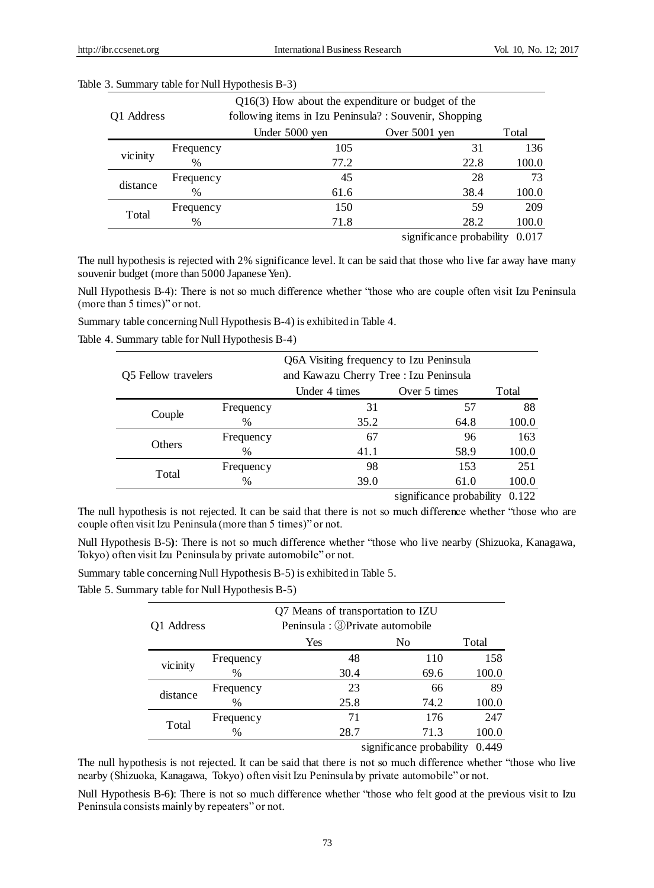| Q1 Address |           | $Q16(3)$ How about the expenditure or budget of the<br>following items in Izu Peninsula?: Souvenir, Shopping |                          |       |
|------------|-----------|--------------------------------------------------------------------------------------------------------------|--------------------------|-------|
|            |           | Under 5000 yen                                                                                               | Over 5001 yen            | Total |
| vicinity   | Frequency | 105                                                                                                          | 31                       | 136   |
|            | %         | 77.2                                                                                                         | 22.8                     | 100.0 |
| distance   | Frequency | 45                                                                                                           | 28                       | 73    |
|            | $\%$      | 61.6                                                                                                         | 38.4                     | 100.0 |
| Total      | Frequency | 150                                                                                                          | 59                       | 209   |
|            | $\%$      | 71.8                                                                                                         | 28.2                     | 100.0 |
|            |           |                                                                                                              | significance probability | 0.017 |

#### Table 3. Summary table for Null Hypothesis B-3)

The null hypothesis is rejected with 2% significance level. It can be said that those who live far away have many souvenir budget (more than 5000 Japanese Yen).

Null Hypothesis B-4): There is not so much difference whether "those who are couple often visit Izu Peninsula (more than 5 times)" or not.

Summary table concerning Null Hypothesis B-4) is exhibited in Table 4.

Table 4. Summary table for Null Hypothesis B-4)

| <b>O5</b> Fellow travelers | Q6A Visiting frequency to Izu Peninsula<br>and Kawazu Cherry Tree : Izu Peninsula |               |                          |       |  |
|----------------------------|-----------------------------------------------------------------------------------|---------------|--------------------------|-------|--|
|                            |                                                                                   | Under 4 times | Over 5 times             | Total |  |
|                            | Frequency                                                                         | 31            | 57                       | 88    |  |
| Couple                     | $\%$                                                                              | 35.2          | 64.8                     | 100.0 |  |
| <b>Others</b>              | Frequency                                                                         | 67            | 96                       | 163   |  |
|                            | $\%$                                                                              | 41.1          | 58.9                     | 100.0 |  |
| Total                      | Frequency                                                                         | 98            | 153                      | 251   |  |
|                            | %                                                                                 | 39.0          | 61.0                     | 100.0 |  |
|                            |                                                                                   |               | significance probability | 0.122 |  |

The null hypothesis is not rejected. It can be said that there is not so much difference whether "those who are couple often visit Izu Peninsula (more than 5 times)" or not.

Null Hypothesis B-5**)**: There is not so much difference whether "those who live nearby (Shizuoka, Kanagawa, Tokyo) often visit Izu Peninsula by private automobile" or not.

Summary table concerning Null Hypothesis B-5) is exhibited in Table 5.

Table 5. Summary table for Null Hypothesis B-5)

| O1 Address |           | Q7 Means of transportation to IZU<br>Peninsula : 3 Private automobile |                          |                      |  |
|------------|-----------|-----------------------------------------------------------------------|--------------------------|----------------------|--|
|            |           | Yes                                                                   | No                       | Total                |  |
| vicinity   | Frequency | 48                                                                    | 110                      | 158                  |  |
|            | $\%$      | 30.4                                                                  | 69.6<br>23<br>66<br>74.2 | 100.0                |  |
|            | Frequency |                                                                       |                          | 89                   |  |
| distance   | $\%$      | 25.8                                                                  |                          | 100.0                |  |
|            | Frequency | 71                                                                    | 176                      | 247                  |  |
| Total      | %         | 28.7                                                                  | 71.3                     | 100.0                |  |
|            |           |                                                                       | $\cdot$ $\sim$<br>٠      | $1 - 1 + 1$<br>0.110 |  |

significance probability 0.449

The null hypothesis is not rejected. It can be said that there is not so much difference whether "those who live nearby (Shizuoka, Kanagawa, Tokyo) often visit Izu Peninsula by private automobile" or not.

Null Hypothesis B-6**)**: There is not so much difference whether "those who felt good at the previous visit to Izu Peninsula consists mainly by repeaters" or not.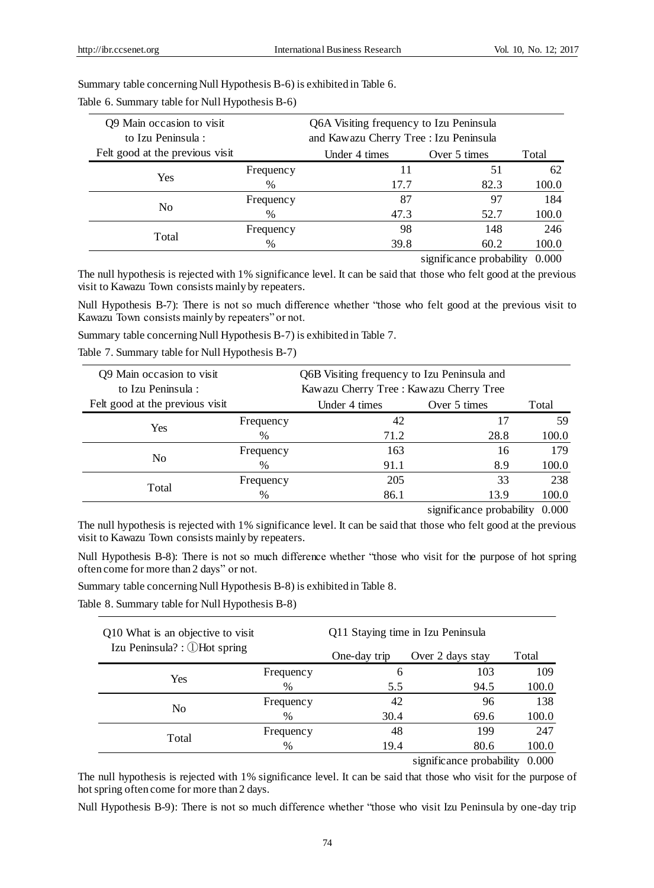| Q9 Main occasion to visit<br>to Izu Peninsula : | Q6A Visiting frequency to Izu Peninsula<br>and Kawazu Cherry Tree : Izu Peninsula |               |              |       |  |
|-------------------------------------------------|-----------------------------------------------------------------------------------|---------------|--------------|-------|--|
| Felt good at the previous visit                 |                                                                                   | Under 4 times | Over 5 times | Total |  |
| <b>Yes</b>                                      | <b>Frequency</b>                                                                  | 11            | 51           | 62    |  |
|                                                 | $\frac{0}{0}$                                                                     | 17.7          | 82.3         | 100.0 |  |
|                                                 | Frequency                                                                         | 87            | 97           | 184   |  |
| N <sub>0</sub>                                  | $\%$                                                                              | 47.3          | 52.7         | 100.0 |  |
|                                                 | Frequency                                                                         | 98            | 148          | 246   |  |
| Total                                           | $\%$                                                                              | 39.8          | 60.2         | 100.0 |  |

Summary table concerning Null Hypothesis B-6) is exhibited in Table 6.

Table 6. Summary table for Null Hypothesis B-6)

significance probability 0.000

The null hypothesis is rejected with 1% significance level. It can be said that those who felt good at the previous visit to Kawazu Town consists mainly by repeaters.

Null Hypothesis B-7): There is not so much difference whether "those who felt good at the previous visit to Kawazu Town consists mainly by repeaters" or not.

Summary table concerning Null Hypothesis B-7) is exhibited in Table 7.

Table 7. Summary table for Null Hypothesis B-7)

| Q9 Main occasion to visit<br>to Izu Peninsula :                                                                                                                                                                                                                                                           | Q6B Visiting frequency to Izu Peninsula and<br>Kawazu Cherry Tree: Kawazu Cherry Tree |               |              |       |
|-----------------------------------------------------------------------------------------------------------------------------------------------------------------------------------------------------------------------------------------------------------------------------------------------------------|---------------------------------------------------------------------------------------|---------------|--------------|-------|
| Felt good at the previous visit                                                                                                                                                                                                                                                                           |                                                                                       | Under 4 times | Over 5 times | Total |
| Yes                                                                                                                                                                                                                                                                                                       | Frequency                                                                             | 42            | 17           | 59    |
|                                                                                                                                                                                                                                                                                                           | $\%$                                                                                  | 71.2          | 28.8         | 100.0 |
| N <sub>0</sub>                                                                                                                                                                                                                                                                                            | Frequency                                                                             | 163           | 16           | 179   |
|                                                                                                                                                                                                                                                                                                           | %                                                                                     | 91.1          | 8.9          | 100.0 |
| Total                                                                                                                                                                                                                                                                                                     | Frequency                                                                             | 205           | 33           | 238   |
|                                                                                                                                                                                                                                                                                                           | %                                                                                     | 86.1          | 13.9         | 100.0 |
| $\frac{1}{2}$ . $\frac{1}{2}$ . $\frac{1}{2}$ . $\frac{1}{2}$ . $\frac{1}{2}$ . $\frac{1}{2}$ . $\frac{1}{2}$ . $\frac{1}{2}$ . $\frac{1}{2}$ . $\frac{1}{2}$ . $\frac{1}{2}$ . $\frac{1}{2}$ . $\frac{1}{2}$ . $\frac{1}{2}$ . $\frac{1}{2}$ . $\frac{1}{2}$ . $\frac{1}{2}$ . $\frac{1}{2}$ . $\frac{1$ |                                                                                       |               |              |       |

significance probability 0.000

The null hypothesis is rejected with 1% significance level. It can be said that those who felt good at the previous visit to Kawazu Town consists mainly by repeaters.

Null Hypothesis B-8): There is not so much difference whether "those who visit for the purpose of hot spring often come for more than 2 days" or not.

Summary table concerning Null Hypothesis B-8) is exhibited in Table 8.

Table 8. Summary table for Null Hypothesis B-8)

| Q10 What is an objective to visit | Q11 Staying time in Izu Peninsula |              |                  |       |  |
|-----------------------------------|-----------------------------------|--------------|------------------|-------|--|
| Izu Peninsula?: ①Hot spring       |                                   | One-day trip | Over 2 days stay | Total |  |
|                                   | Frequency                         | 6            | 103              | 109   |  |
| Yes                               | $\%$                              | 5.5          | 94.5             | 100.0 |  |
|                                   | Frequency                         | 42           | 96               | 138   |  |
| No                                | $\%$                              | 30.4         | 69.6             | 100.0 |  |
|                                   | Frequency                         | 48           | 199              | 247   |  |
| Total                             | $\%$                              | 19.4         | 80.6             | 100.0 |  |
|                                   |                                   |              |                  |       |  |

significance probability 0.000

The null hypothesis is rejected with 1% significance level. It can be said that those who visit for the purpose of hot spring often come for more than 2 days.

Null Hypothesis B-9): There is not so much difference whether "those who visit Izu Peninsula by one-day trip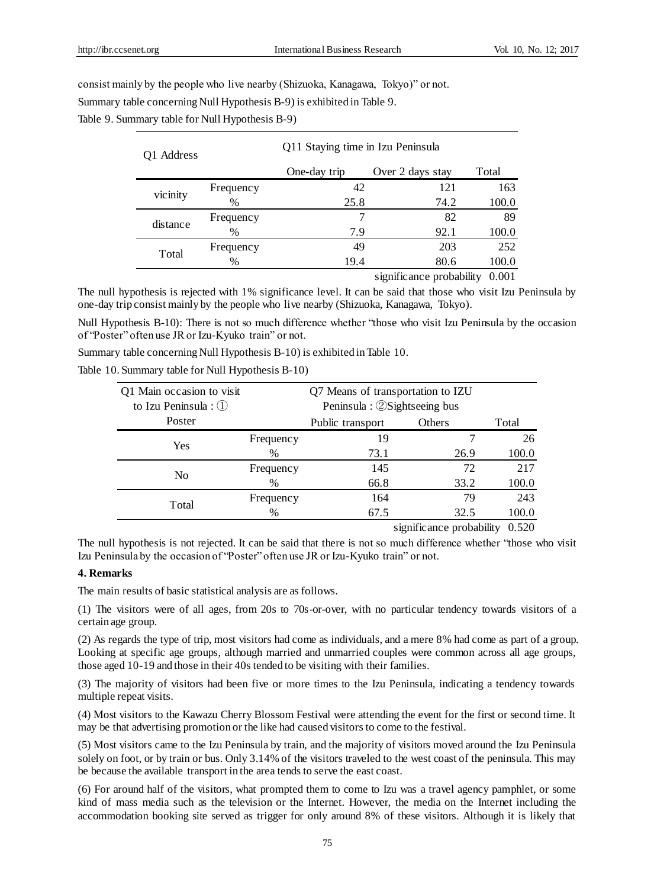consist mainly by the people who live nearby (Shizuoka, Kanagawa, Tokyo)" or not.

Summary table concerning Null Hypothesis B-9) is exhibited in Table 9.

Table 9. Summary table for Null Hypothesis B-9)

| Q1 Address | Q11 Staying time in Izu Peninsula |              |                  |       |  |
|------------|-----------------------------------|--------------|------------------|-------|--|
|            |                                   | One-day trip | Over 2 days stay | Total |  |
|            | Frequency                         | 42           | 121              | 163   |  |
| vicinity   | $\%$                              | 25.8         | 74.2             | 100.0 |  |
|            | Frequency                         |              | 82               | 89    |  |
| distance   | $\%$                              | 7.9          | 92.1             | 100.0 |  |
|            | Frequency                         | 49           | 203              | 252   |  |
| Total      | $\%$                              | 19.4         | 80.6             | 100.0 |  |
|            |                                   |              | $\sim$<br>       | .     |  |

significance probability 0.001

The null hypothesis is rejected with 1% significance level. It can be said that those who visit Izu Peninsula by one-day trip consist mainly by the people who live nearby (Shizuoka, Kanagawa, Tokyo).

Null Hypothesis B-10): There is not so much difference whether "those who visit Izu Peninsula by the occasion of "Poster" often use JR or Izu-Kyuko train" or not.

Summary table concerning Null Hypothesis B-10) is exhibited in Table 10.

Table 10. Summary table for Null Hypothesis B-10)

| Q1 Main occasion to visit<br>to Izu Peninsula : $\mathbb{O}$ |           | Q7 Means of transportation to IZU<br>Peninsula: 2 Sightseeing bus |                          |       |
|--------------------------------------------------------------|-----------|-------------------------------------------------------------------|--------------------------|-------|
| Poster                                                       |           | Public transport                                                  | Others                   | Total |
| Yes                                                          | Frequency | 19                                                                |                          | 26    |
|                                                              | $\%$      | 73.1                                                              | 26.9                     | 100.0 |
| No                                                           | Frequency | 145                                                               | 72                       | 217   |
|                                                              | $\%$      | 66.8                                                              | 33.2                     | 100.0 |
|                                                              | Frequency | 164                                                               | 79                       | 243   |
| Total                                                        | $\%$      | 67.5                                                              | 32.5                     | 100.0 |
|                                                              |           |                                                                   | significance probability | 0.520 |

The null hypothesis is not rejected. It can be said that there is not so much difference whether "those who visit Izu Peninsula by the occasion of "Poster" often use JR or Izu-Kyuko train" or not.

# **4. Remarks**

The main results of basic statistical analysis are as follows.

(1) The visitors were of all ages, from 20s to 70s-or-over, with no particular tendency towards visitors of a certain age group.

(2) As regards the type of trip, most visitors had come as individuals, and a mere 8% had come as part of a group. Looking at specific age groups, although married and unmarried couples were common across all age groups, those aged 10-19 and those in their 40s tended to be visiting with their families.

(3) The majority of visitors had been five or more times to the Izu Peninsula, indicating a tendency towards multiple repeat visits.

(4) Most visitors to the Kawazu Cherry Blossom Festival were attending the event for the first or second time. It may be that advertising promotion or the like had caused visitors to come to the festival.

(5) Most visitors came to the Izu Peninsula by train, and the majority of visitors moved around the Izu Peninsula solely on foot, or by train or bus. Only 3.14% of the visitors traveled to the west coast of the peninsula. This may be because the available transport in the area tends to serve the east coast.

(6) For around half of the visitors, what prompted them to come to Izu was a travel agency pamphlet, or some kind of mass media such as the television or the Internet. However, the media on the Internet including the accommodation booking site served as trigger for only around 8% of these visitors. Although it is likely that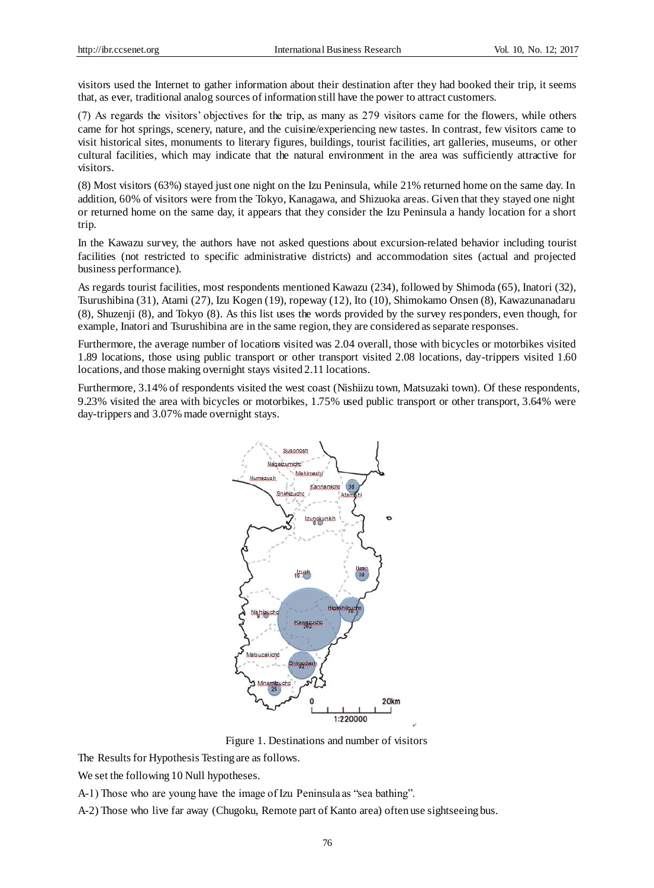visitors used the Internet to gather information about their destination after they had booked their trip, it seems that, as ever, traditional analog sources of information still have the power to attract customers.

(7) As regards the visitors' objectives for the trip, as many as 279 visitors came for the flowers, while others came for hot springs, scenery, nature, and the cuisine/experiencing new tastes. In contrast, few visitors came to visit historical sites, monuments to literary figures, buildings, tourist facilities, art galleries, museums, or other cultural facilities, which may indicate that the natural environment in the area was sufficiently attractive for visitors.

(8) Most visitors (63%) stayed just one night on the Izu Peninsula, while 21% returned home on the same day. In addition, 60% of visitors were from the Tokyo, Kanagawa, and Shizuoka areas. Given that they stayed one night or returned home on the same day, it appears that they consider the Izu Peninsula a handy location for a short trip.

In the Kawazu survey, the authors have not asked questions about excursion-related behavior including tourist facilities (not restricted to specific administrative districts) and accommodation sites (actual and projected business performance).

As regards tourist facilities, most respondents mentioned Kawazu (234), followed by Shimoda (65), Inatori (32), Tsurushibina (31), Atami (27), Izu Kogen (19), ropeway (12), Ito (10), Shimokamo Onsen (8), Kawazunanadaru (8), Shuzenji (8), and Tokyo (8). As this list uses the words provided by the survey responders, even though, for example, Inatori and Tsurushibina are in the same region, they are considered as separate responses.

Furthermore, the average number of locations visited was 2.04 overall, those with bicycles or motorbikes visited 1.89 locations, those using public transport or other transport visited 2.08 locations, day-trippers visited 1.60 locations, and those making overnight stays visited 2.11 locations.

Furthermore, 3.14% of respondents visited the west coast (Nishiizu town, Matsuzaki town). Of these respondents, 9.23% visited the area with bicycles or motorbikes, 1.75% used public transport or other transport, 3.64% were day-trippers and 3.07% made overnight stays.



Figure 1. Destinations and number of visitors

The Results for Hypothesis Testing are as follows.

We set the following 10 Null hypotheses.

A-1) Those who are young have the image of Izu Peninsula as "sea bathing".

A-2) Those who live far away (Chugoku, Remote part of Kanto area) often use sightseeing bus.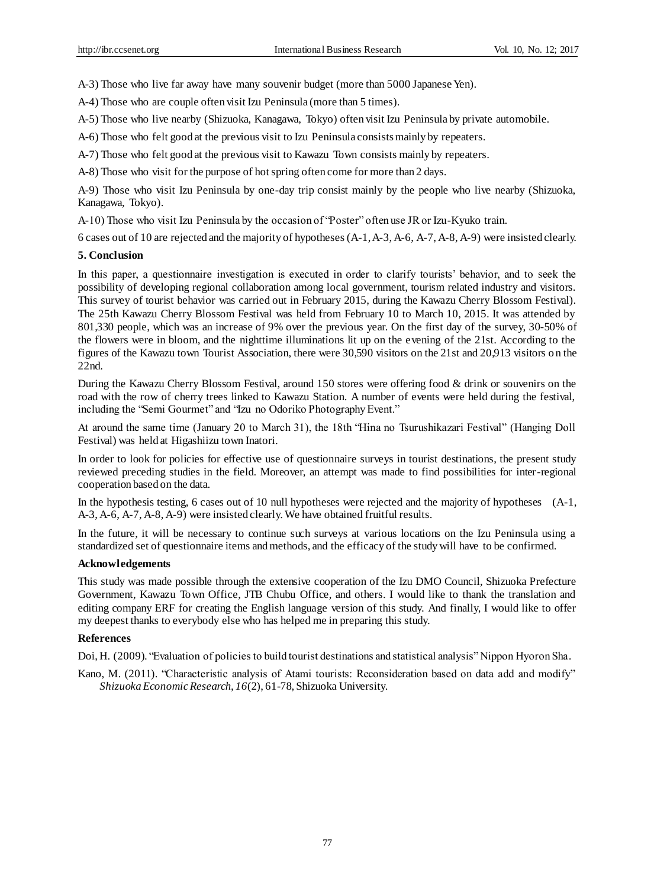A-3) Those who live far away have many souvenir budget (more than 5000 Japanese Yen).

A-4) Those who are couple often visit Izu Peninsula (more than 5 times).

A-5) Those who live nearby (Shizuoka, Kanagawa, Tokyo) often visit Izu Peninsula by private automobile.

A-6) Those who felt good at the previous visit to Izu Peninsula consists mainly by repeaters.

A-7) Those who felt good at the previous visit to Kawazu Town consists mainly by repeaters.

A-8) Those who visit for the purpose of hot spring often come for more than 2 days.

A-9) Those who visit Izu Peninsula by one-day trip consist mainly by the people who live nearby (Shizuoka, Kanagawa, Tokyo).

A-10) Those who visit Izu Peninsula by the occasion of "Poster" often use JR or Izu-Kyuko train.

6 cases out of 10 are rejected and the majority of hypotheses (A-1, A-3, A-6, A-7, A-8, A-9) were insisted clearly.

#### **5. Conclusion**

In this paper, a questionnaire investigation is executed in order to clarify tourists' behavior, and to seek the possibility of developing regional collaboration among local government, tourism related industry and visitors. This survey of tourist behavior was carried out in February 2015, during the Kawazu Cherry Blossom Festival). The 25th Kawazu Cherry Blossom Festival was held from February 10 to March 10, 2015. It was attended by 801,330 people, which was an increase of 9% over the previous year. On the first day of the survey, 30-50% of the flowers were in bloom, and the nighttime illuminations lit up on the evening of the 21st. According to the figures of the Kawazu town Tourist Association, there were 30,590 visitors on the 21st and 20,913 visitors on the  $22nd$ .

During the Kawazu Cherry Blossom Festival, around 150 stores were offering food & drink or souvenirs on the road with the row of cherry trees linked to Kawazu Station. A number of events were held during the festival, including the "Semi Gourmet" and "Izu no Odoriko Photography Event."

At around the same time (January 20 to March 31), the 18th "Hina no Tsurushikazari Festival" (Hanging Doll Festival) was held at Higashiizu town Inatori.

In order to look for policies for effective use of questionnaire surveys in tourist destinations, the present study reviewed preceding studies in the field. Moreover, an attempt was made to find possibilities for inter-regional cooperation based on the data.

In the hypothesis testing, 6 cases out of 10 null hypotheses were rejected and the majority of hypotheses (A-1, A-3, A-6, A-7, A-8, A-9) were insisted clearly. We have obtained fruitful results.

In the future, it will be necessary to continue such surveys at various locations on the Izu Peninsula using a standardized set of questionnaire items and methods, and the efficacy of the study will have to be confirmed.

#### **Acknowledgements**

This study was made possible through the extensive cooperation of the Izu DMO Council, Shizuoka Prefecture Government, Kawazu Town Office, JTB Chubu Office, and others. I would like to thank the translation and editing company ERF for creating the English language version of this study. And finally, I would like to offer my deepest thanks to everybody else who has helped me in preparing this study.

#### **References**

Doi, H. (2009). "Evaluation of policies to build tourist destinations and statistical analysis" Nippon Hyoron Sha.

Kano, M. (2011). "Characteristic analysis of Atami tourists: Reconsideration based on data add and modify" *Shizuoka Economic Research, 16*(2), 61-78, Shizuoka University.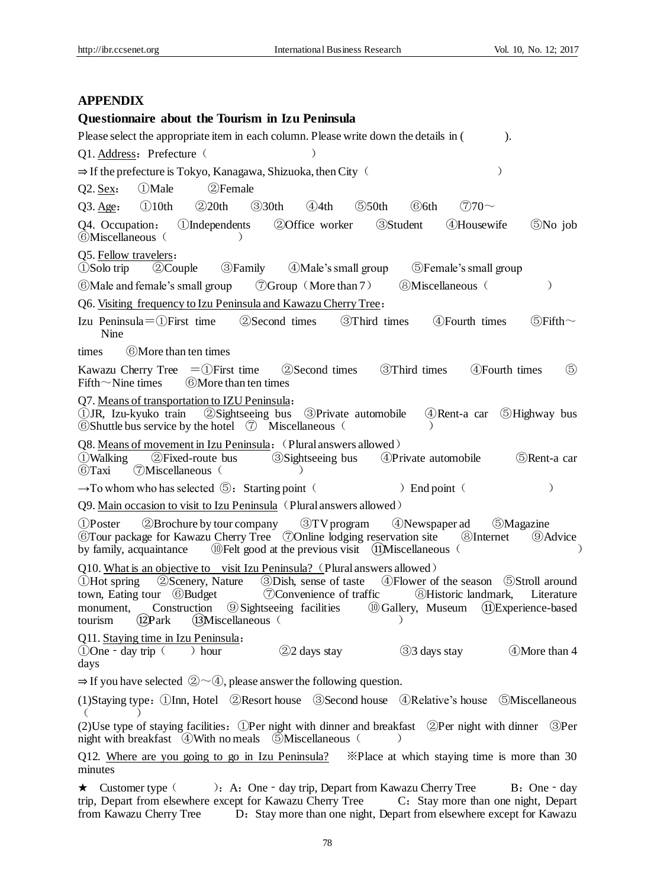# **APPENDIX**

# **Questionnaire about the Tourism in Izu Peninsula** Please select the appropriate item in each column. Please write down the details in (). Q1. Address: Prefecture ( ⇒If the prefecture is Tokyo, Kanagawa, Shizuoka, then City( ) Q2. Sex: ①Male ②Female **Q3.** <u>Age</u>: ①10th ②20th ③30th ④4th ⑤50th ⑥6th ⑦70~ Q4. Occupation: ①Independents ②Office worker ③Student ④Housewife ⑤No job ⑥Miscellaneous( ) Q5. Fellow travelers:<br>(1)Solo trip (2)Co ②Couple ③Family ④Male's small group ⑤Female's small group ©Male and female's small group  $\circledcirc$   $\circledcirc$  (More than 7)  $\circledcirc$  (Miscellaneous () Q6. Visiting frequency to Izu Peninsula and Kawazu Cherry Tree: Izu Peninsula=①First time  $\oslash$  Second times  $\oslash$ Third times  $\oslash$  Fourth times  $\oslash$  Fifth $\sim$ Nine times ⑥More than ten times Kawazu Cherry Tree  $=$  ①First time  $\qquad$  ②Second times  $\qquad$  ③Third times  $\qquad$  ④Fourth times ⑤ Fifth $\sim$ Nine times  $\odot$ More than ten times Q7. Means of transportation to IZU Peninsula: ①JR, Izu-kyuko train ②Sightseeing bus ③Private automobile ④Rent-a car ⑤Highway bus  $\circ$ Shuttle bus service by the hotel  $\circ$  Miscellaneous ( Q8. Means of movement in Izu Peninsula: (Plural answers allowed) ①Walking ②Fixed-route bus ③Sightseeing bus ④Private automobile ⑤Rent-a car ⑥Taxi ⑦Miscellaneous( )  $\rightarrow$  To whom who has selected  $\circled{5}$ : Starting point () End point () Q9. Main occasion to visit to Izu Peninsula (Plural answers allowed) ①Poster ②Brochure by tour company ③TV program ④Newspaper ad ⑤Magazine ⑥Tour package for Kawazu Cherry Tree ⑦Online lodging reservation site ⑧Internet ⑨Advice by family, acquaintance ⑩Felt good at the previous visit ⑪Miscellaneous( ) Q10. What is an objective to visit Izu Peninsula? (Plural answers allowed)<br>
①Hot spring ②Scenery, Nature ③Dish, sense of taste ④Flower of the season ⑤Stroll around ①Hot spring ②Scenery, Nature ③Dish, sense of taste town, Eating tour ⑥Budget ⑦Convenience of traffic ⑧Historic landmark, Literature monument, Construction **⑨Sightseeing facilities** *⑩Gallery*, Museum *①Experience-based* tourism (12Park (13Miscellaneous () Q11. Staying time in Izu Peninsula: (1) One - day trip ( ) hour  $\bigcirc$  22 days stay  $\bigcirc$  33 days stay  $\bigcirc$  4) More than 4 days  $\Rightarrow$  If you have selected  $\circled{2} \sim \circled{4}$ , please answer the following question. (1)Staying type:①Inn, Hotel ②Resort house ③Second house ④Relative's house ⑤Miscellaneous  $($ (2)Use type of staying facilities:①Per night with dinner and breakfast ②Per night with dinner ③Per night with breakfast  $\mathcal{D}$ With no meals  $\mathcal{D}$ Miscellaneous () Q12. Where are you going to go in Izu Peninsula? ※Place at which staying time is more than 30 minutes ★ Customer type ( ): A: One‐day trip, Depart from Kawazu Cherry Tree B: One‐day trip, Depart from elsewhere except for Kawazu Cherry Tree C:Stay more than one night, Depart

from Kawazu Cherry Tree D: Stay more than one night, Depart from elsewhere except for Kawazu